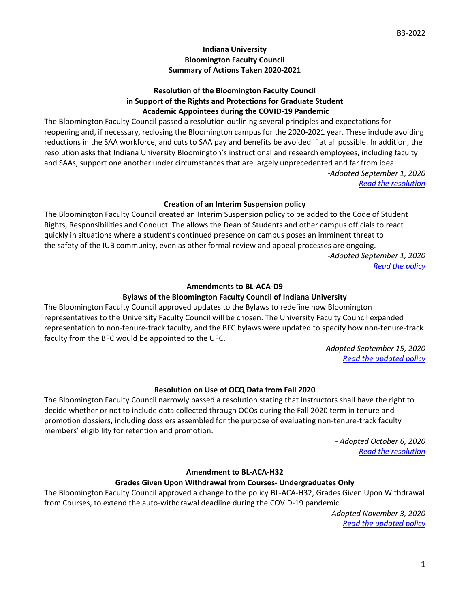## **Indiana University Bloomington Faculty Council Summary of Actions Taken 2020-2021**

## **Resolution of the Bloomington Faculty Council in Support of the Rights and Protections for Graduate Student Academic Appointees during the COVID-19 Pandemic**

The Bloomington Faculty Council passed a resolution outlining several principles and expectations for reopening and, if necessary, reclosing the Bloomington campus for the 2020-2021 year. These include avoiding reductions in the SAA workforce, and cuts to SAA pay and benefits be avoided if at all possible. In addition, the resolution asks that Indiana University Bloomington's instructional and research employees, including faculty and SAAs, support one another under circumstances that are largely unprecedented and far from ideal. *-Adopted September 1, 2020*

*[Read the resolution](https://bfc.indiana.edu/policies/statements-resolutions/policy-resolutions/grad-protections-pandemic.html)*

## **Creation of an Interim Suspension policy**

The Bloomington Faculty Council created an Interim Suspension policy to be added to the Code of Student Rights, Responsibilities and Conduct. The allows the Dean of Students and other campus officials to react quickly in situations where a student's continued presence on campus poses an imminent threat to the safety of the IUB community, even as other formal review and appeal processes are ongoing. *-Adopted September 1, 2020 [Read the policy](https://studentcode.iu.edu/procedures/bloomington/discipline/appendix-e.html)*

#### **Amendments to BL-ACA-D9**

# **Bylaws of the Bloomington Faculty Council of Indiana University**

The Bloomington Faculty Council approved updates to the Bylaws to redefine how Bloomington representatives to the University Faculty Council will be chosen. The University Faculty Council expanded representation to non-tenure-track faculty, and the BFC bylaws were updated to specify how non-tenure-track faculty from the BFC would be appointed to the UFC.

> *- Adopted September 15, 2020 [Read the updated policy](https://vpfaa.indiana.edu/policies/bl-aca-d9-bloomington-faculty-bylaws/index.html)*

# **Resolution on Use of OCQ Data from Fall 2020**

The Bloomington Faculty Council narrowly passed a resolution stating that instructors shall have the right to decide whether or not to include data collected through OCQs during the Fall 2020 term in tenure and promotion dossiers, including dossiers assembled for the purpose of evaluating non-tenure-track faculty members' eligibility for retention and promotion.

> *- Adopted October 6, 2020 [Read the resolution](https://bfc.indiana.edu/meetings/2020-2021/circulars/B11-2021.pdf)*

#### **Amendment to BL-ACA-H32**

#### **Grades Given Upon Withdrawal from Courses- Undergraduates Only**

The Bloomington Faculty Council approved a change to the policy BL-ACA-H32, Grades Given Upon Withdrawal from Courses, to extend the auto-withdrawal deadline during the COVID-19 pandemic.

> *- Adopted November 3, 2020 [Read the updated policy](https://vpfaa.indiana.edu/policies/bl-aca-h11-undergraduate-admissions/index.html)*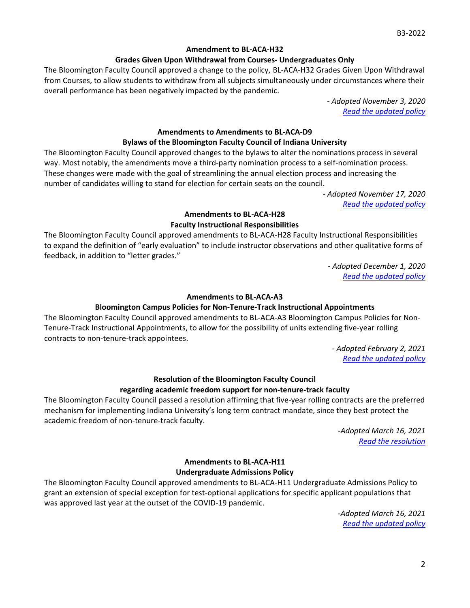#### **Amendment to BL-ACA-H32**

#### **Grades Given Upon Withdrawal from Courses- Undergraduates Only**

The Bloomington Faculty Council approved a change to the policy, BL-ACA-H32 Grades Given Upon Withdrawal from Courses, to allow students to withdraw from all subjects simultaneously under circumstances where their overall performance has been negatively impacted by the pandemic.

> *- Adopted November 3, 2020 [Read the updated policy](https://vpfaa.indiana.edu/policies/bl-aca-h11-undergraduate-admissions/index.html)*

## **Amendments to Amendments to BL-ACA-D9**

# **Bylaws of the Bloomington Faculty Council of Indiana University**

The Bloomington Faculty Council approved changes to the bylaws to alter the nominations process in several way. Most notably, the amendments move a third-party nomination process to a self-nomination process. These changes were made with the goal of streamlining the annual election process and increasing the number of candidates willing to stand for election for certain seats on the council.

> *- Adopted November 17, 2020 [Read the updated policy](https://vpfaa.indiana.edu/policies/bl-aca-d9-bloomington-faculty-bylaws/index.html)*

# **Amendments to BL-ACA-H28 Faculty Instructional Responsibilities**

The Bloomington Faculty Council approved amendments to BL-ACA-H28 Faculty Instructional Responsibilities to expand the definition of "early evaluation" to include instructor observations and other qualitative forms of feedback, in addition to "letter grades."

> *- Adopted December 1, 2020 [Read the updated policy](https://vpfaa.indiana.edu/policies/bl-aca-h28-instructional-responsibilities/index.html)*

#### **Amendments to BL-ACA-A3**

#### **Bloomington Campus Policies for Non-Tenure-Track Instructional Appointments**

The Bloomington Faculty Council approved amendments to BL-ACA-A3 Bloomington Campus Policies for Non-Tenure-Track Instructional Appointments, to allow for the possibility of units extending five-year rolling contracts to non-tenure-track appointees.

> *- Adopted February 2, 2021 [Read the updated policy](https://vpfaa.indiana.edu/policies/bl-aca-a3-non-tenure-track-instructional-appointments/index.html)*

# **Resolution of the Bloomington Faculty Council**

#### **regarding academic freedom support for non-tenure-track faculty**

The Bloomington Faculty Council passed a resolution affirming that five-year rolling contracts are the preferred mechanism for implementing Indiana University's long term contract mandate, since they best protect the academic freedom of non-tenure-track faculty.

> *-Adopted March 16, 2021 [Read the resolution](https://bfc.indiana.edu/policies/statements-resolutions/policy-resolutions/ntt-academic-freedom.html)*

## **Amendments to BL-ACA-H11 Undergraduate Admissions Policy**

The Bloomington Faculty Council approved amendments to BL-ACA-H11 Undergraduate Admissions Policy to grant an extension of special exception for test-optional applications for specific applicant populations that was approved last year at the outset of the COVID-19 pandemic.

> *-Adopted March 16, 2021 [Read the updated policy](https://vpfaa.indiana.edu/policies/bl-aca-h11-undergraduate-admissions/index.html)*